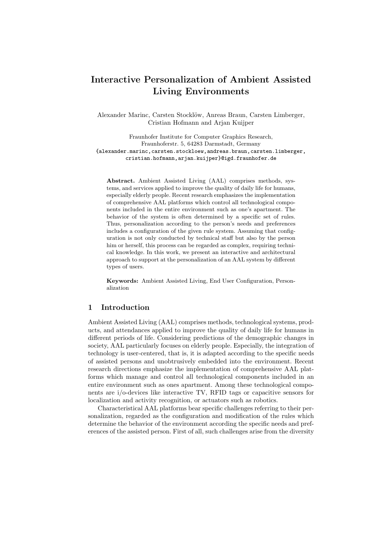Alexander Marinc, Carsten Stocklöw, Anreas Braun, Carsten Limberger, Cristian Hofmann and Arjan Kuijper

Fraunhofer Institute for Computer Graphics Research, Fraunhoferstr. 5, 64283 Darmstadt, Germany {alexander.marinc,carsten.stockloew,andreas.braun,carsten.limberger, cristian.hofmann,arjan.kuijper}@igd.fraunhofer.de

Abstract. Ambient Assisted Living (AAL) comprises methods, systems, and services applied to improve the quality of daily life for humans, especially elderly people. Recent research emphasizes the implementation of comprehensive AAL platforms which control all technological components included in the entire environment such as one's apartment. The behavior of the system is often determined by a specific set of rules. Thus, personalization according to the person's needs and preferences includes a configuration of the given rule system. Assuming that configuration is not only conducted by technical staff but also by the person him or herself, this process can be regarded as complex, requiring technical knowledge. In this work, we present an interactive and architectural approach to support at the personalization of an AAL system by different types of users.

Keywords: Ambient Assisted Living, End User Configuration, Personalization

# 1 Introduction

Ambient Assisted Living (AAL) comprises methods, technological systems, products, and attendances applied to improve the quality of daily life for humans in different periods of life. Considering predictions of the demographic changes in society, AAL particularly focuses on elderly people. Especially, the integration of technology is user-centered, that is, it is adapted according to the specific needs of assisted persons and unobtrusively embedded into the environment. Recent research directions emphasize the implementation of comprehensive AAL platforms which manage and control all technological components included in an entire environment such as ones apartment. Among these technological components are i/o-devices like interactive TV, RFID tags or capacitive sensors for localization and activity recognition, or actuators such as robotics.

Characteristical AAL platforms bear specific challenges referring to their personalization, regarded as the configuration and modification of the rules which determine the behavior of the environment according the specific needs and preferences of the assisted person. First of all, such challenges arise from the diversity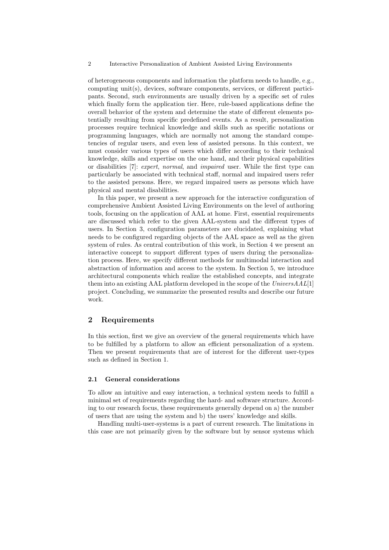of heterogeneous components and information the platform needs to handle, e.g., computing unit(s), devices, software components, services, or different participants. Second, such environments are usually driven by a specific set of rules which finally form the application tier. Here, rule-based applications define the overall behavior of the system and determine the state of different elements potentially resulting from specific predefined events. As a result, personalization processes require technical knowledge and skills such as specific notations or programming languages, which are normally not among the standard competencies of regular users, and even less of assisted persons. In this context, we must consider various types of users which differ according to their technical knowledge, skills and expertise on the one hand, and their physical capabilities or disabilities [7]: expert, normal, and impaired user. While the first type can particularly be associated with technical staff, normal and impaired users refer to the assisted persons. Here, we regard impaired users as persons which have physical and mental disabilities.

In this paper, we present a new approach for the interactive configuration of comprehensive Ambient Assisted Living Environments on the level of authoring tools, focusing on the application of AAL at home. First, essential requirements are discussed which refer to the given AAL-system and the different types of users. In Section 3, configuration parameters are elucidated, explaining what needs to be configured regarding objects of the AAL space as well as the given system of rules. As central contribution of this work, in Section 4 we present an interactive concept to support different types of users during the personalization process. Here, we specify different methods for multimodal interaction and abstraction of information and access to the system. In Section 5, we introduce architectural components which realize the established concepts, and integrate them into an existing AAL platform developed in the scope of the  $UniversAAL[1]$ project. Concluding, we summarize the presented results and describe our future work.

# 2 Requirements

In this section, first we give an overview of the general requirements which have to be fulfilled by a platform to allow an efficient personalization of a system. Then we present requirements that are of interest for the different user-types such as defined in Section 1.

#### 2.1 General considerations

To allow an intuitive and easy interaction, a technical system needs to fulfill a minimal set of requirements regarding the hard- and software structure. According to our research focus, these requirements generally depend on a) the number of users that are using the system and b) the users' knowledge and skills.

Handling multi-user-systems is a part of current research. The limitations in this case are not primarily given by the software but by sensor systems which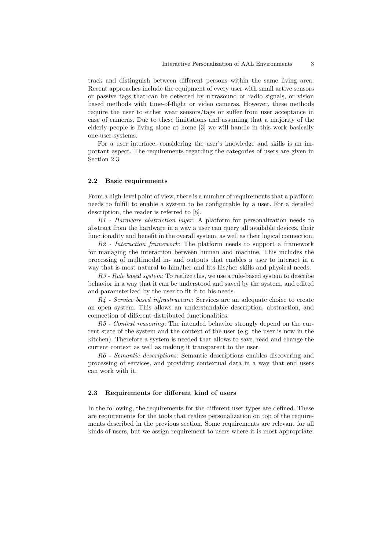track and distinguish between different persons within the same living area. Recent approaches include the equipment of every user with small active sensors or passive tags that can be detected by ultrasound or radio signals, or vision based methods with time-of-flight or video cameras. However, these methods require the user to either wear sensors/tags or suffer from user acceptance in case of cameras. Due to these limitations and assuming that a majority of the elderly people is living alone at home [3] we will handle in this work basically one-user-systems.

For a user interface, considering the user's knowledge and skills is an important aspect. The requirements regarding the categories of users are given in Section 2.3

#### 2.2 Basic requirements

From a high-level point of view, there is a number of requirements that a platform needs to fulfill to enable a system to be configurable by a user. For a detailed description, the reader is referred to [8].

R1 - Hardware abstraction layer : A platform for personalization needs to abstract from the hardware in a way a user can query all available devices, their functionality and benefit in the overall system, as well as their logical connection.

 $R2$  - Interaction framework: The platform needs to support a framework for managing the interaction between human and machine. This includes the processing of multimodal in- and outputs that enables a user to interact in a way that is most natural to him/her and fits his/her skills and physical needs.

 $R3$  - Rule based system: To realize this, we use a rule-based system to describe behavior in a way that it can be understood and saved by the system, and edited and parameterized by the user to fit it to his needs.

 $R<sub>4</sub>$  - Service based infrastructure: Services are an adequate choice to create an open system. This allows an understandable description, abstraction, and connection of different distributed functionalities.

R5 - Context reasoning: The intended behavior strongly depend on the current state of the system and the context of the user (e.g. the user is now in the kitchen). Therefore a system is needed that allows to save, read and change the current context as well as making it transparent to the user.

R6 - Semantic descriptions: Semantic descriptions enables discovering and processing of services, and providing contextual data in a way that end users can work with it.

#### 2.3 Requirements for different kind of users

In the following, the requirements for the different user types are defined. These are requirements for the tools that realize personalization on top of the requirements described in the previous section. Some requirements are relevant for all kinds of users, but we assign requirement to users where it is most appropriate.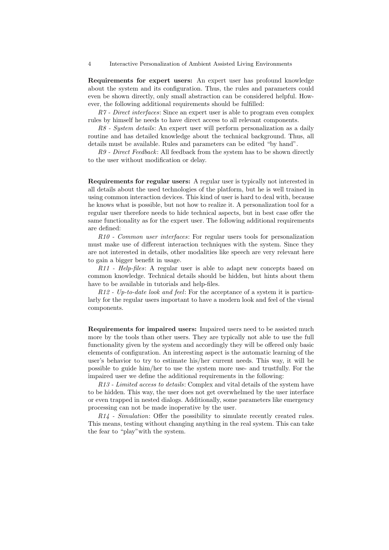Requirements for expert users: An expert user has profound knowledge about the system and its configuration. Thus, the rules and parameters could even be shown directly, only small abstraction can be considered helpful. However, the following additional requirements should be fulfilled:

R7 - Direct interfaces: Since an expert user is able to program even complex rules by himself he needs to have direct access to all relevant components.

R8 - System details: An expert user will perform personalization as a daily routine and has detailed knowledge about the technical background. Thus, all details must be available. Rules and parameters can be edited "by hand".

R9 - Direct Feedback: All feedback from the system has to be shown directly to the user without modification or delay.

Requirements for regular users: A regular user is typically not interested in all details about the used technologies of the platform, but he is well trained in using common interaction devices. This kind of user is hard to deal with, because he knows what is possible, but not how to realize it. A personalization tool for a regular user therefore needs to hide technical aspects, but in best case offer the same functionality as for the expert user. The following additional requirements are defined:

R10 - Common user interfaces: For regular users tools for personalization must make use of different interaction techniques with the system. Since they are not interested in details, other modalities like speech are very relevant here to gain a bigger benefit in usage.

R11 - Help-files: A regular user is able to adapt new concepts based on common knowledge. Technical details should be hidden, but hints about them have to be available in tutorials and help-files.

R12 - Up-to-date look and feel: For the acceptance of a system it is particularly for the regular users important to have a modern look and feel of the visual components.

Requirements for impaired users: Impaired users need to be assisted much more by the tools than other users. They are typically not able to use the full functionality given by the system and accordingly they will be offered only basic elements of configuration. An interesting aspect is the automatic learning of the user's behavior to try to estimate his/her current needs. This way, it will be possible to guide him/her to use the system more use- and trustfully. For the impaired user we define the additional requirements in the following:

R13 - Limited access to details: Complex and vital details of the system have to be hidden. This way, the user does not get overwhelmed by the user interface or even trapped in nested dialogs. Additionally, some parameters like emergency processing can not be made inoperative by the user.

R14 - Simulation: Offer the possibility to simulate recently created rules. This means, testing without changing anything in the real system. This can take the fear to "play"with the system.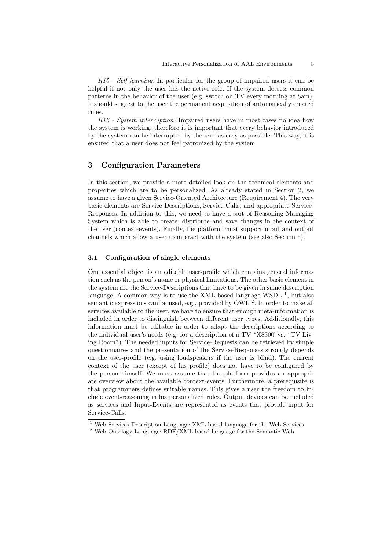R15 - Self learning: In particular for the group of impaired users it can be helpful if not only the user has the active role. If the system detects common patterns in the behavior of the user (e.g. switch on TV every morning at 8am), it should suggest to the user the permanent acquisition of automatically created rules.

R16 - System interruption: Impaired users have in most cases no idea how the system is working, therefore it is important that every behavior introduced by the system can be interrupted by the user as easy as possible. This way, it is ensured that a user does not feel patronized by the system.

## 3 Configuration Parameters

In this section, we provide a more detailed look on the technical elements and properties which are to be personalized. As already stated in Section 2, we assume to have a given Service-Oriented Architecture (Requirement 4). The very basic elements are Service-Descriptions, Service-Calls, and appropriate Service-Responses. In addition to this, we need to have a sort of Reasoning Managing System which is able to create, distribute and save changes in the context of the user (context-events). Finally, the platform must support input and output channels which allow a user to interact with the system (see also Section 5).

#### 3.1 Configuration of single elements

One essential object is an editable user-profile which contains general information such as the person's name or physical limitations. The other basic element in the system are the Service-Descriptions that have to be given in same description language. A common way is to use the XML based language WSDL  $<sup>1</sup>$ , but also</sup> semantic expressions can be used, e.g., provided by OWL<sup>2</sup>. In order to make all services available to the user, we have to ensure that enough meta-information is included in order to distinguish between different user types. Additionally, this information must be editable in order to adapt the descriptions according to the individual user's needs (e.g. for a description of a TV "X8300" vs. "TV Living Room"). The needed inputs for Service-Requests can be retrieved by simple questionnaires and the presentation of the Service-Responses strongly depends on the user-profile (e.g. using loudspeakers if the user is blind). The current context of the user (except of his profile) does not have to be configured by the person himself. We must assume that the platform provides an appropriate overview about the available context-events. Furthermore, a prerequisite is that programmers defines suitable names. This gives a user the freedom to include event-reasoning in his personalized rules. Output devices can be included as services and Input-Events are represented as events that provide input for Service-Calls.

<sup>1</sup> Web Services Description Language: XML-based language for the Web Services

 $^2$  Web Ontology Language: RDF/XML-based language for the Semantic Web  $\,$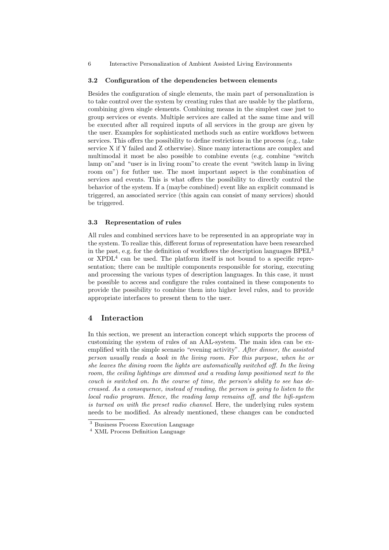#### 3.2 Configuration of the dependencies between elements

Besides the configuration of single elements, the main part of personalization is to take control over the system by creating rules that are usable by the platform, combining given single elements. Combining means in the simplest case just to group services or events. Multiple services are called at the same time and will be executed after all required inputs of all services in the group are given by the user. Examples for sophisticated methods such as entire workflows between services. This offers the possibility to define restrictions in the process (e.g., take service X if Y failed and Z otherwise). Since many interactions are complex and multimodal it most be also possible to combine events (e.g. combine "switch lamp on"and "user is in living room"to create the event "switch lamp in living room on") for futher use. The most important aspect is the combination of services and events. This is what offers the possibility to directly control the behavior of the system. If a (maybe combined) event like an explicit command is triggered, an associated service (this again can consist of many services) should be triggered.

#### 3.3 Representation of rules

All rules and combined services have to be represented in an appropriate way in the system. To realize this, different forms of representation have been researched in the past, e.g. for the definition of workflows the description languages  $BPEL<sup>3</sup>$ or  $XPDL<sup>4</sup>$  can be used. The platform itself is not bound to a specific representation; there can be multiple components responsible for storing, executing and processing the various types of description languages. In this case, it must be possible to access and configure the rules contained in these components to provide the possibility to combine them into higher level rules, and to provide appropriate interfaces to present them to the user.

## 4 Interaction

In this section, we present an interaction concept which supports the process of customizing the system of rules of an AAL-system. The main idea can be exemplified with the simple scenario "evening activity". After dinner, the assisted person usually reads a book in the living room. For this purpose, when he or she leaves the dining room the lights are automatically switched off. In the living room, the ceiling lightings are dimmed and a reading lamp positioned next to the couch is switched on. In the course of time, the person's ability to see has decreased. As a consequence, instead of reading, the person is going to listen to the local radio program. Hence, the reading lamp remains off, and the hifi-system is turned on with the preset radio channel. Here, the underlying rules system needs to be modified. As already mentioned, these changes can be conducted

<sup>3</sup> Business Process Execution Language

<sup>4</sup> XML Process Definition Language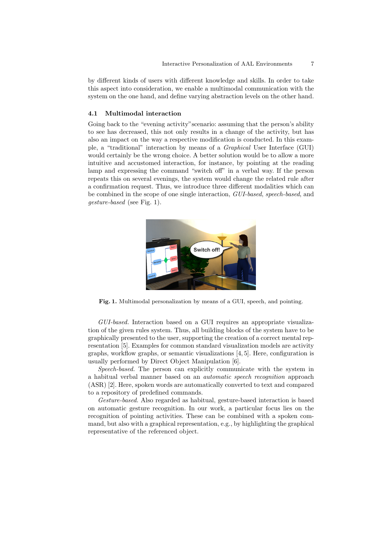by different kinds of users with different knowledge and skills. In order to take this aspect into consideration, we enable a multimodal communication with the system on the one hand, and define varying abstraction levels on the other hand.

#### 4.1 Multimodal interaction

Going back to the "evening activity" scenario: assuming that the person's ability to see has decreased, this not only results in a change of the activity, but has also an impact on the way a respective modification is conducted. In this example, a "traditional" interaction by means of a Graphical User Interface (GUI) would certainly be the wrong choice. A better solution would be to allow a more intuitive and accustomed interaction, for instance, by pointing at the reading lamp and expressing the command "switch off" in a verbal way. If the person repeats this on several evenings, the system would change the related rule after a confirmation request. Thus, we introduce three different modalities which can be combined in the scope of one single interaction, GUI-based, speech-based, and gesture-based (see Fig. 1).



Fig. 1. Multimodal personalization by means of a GUI, speech, and pointing.

GUI-based. Interaction based on a GUI requires an appropriate visualization of the given rules system. Thus, all building blocks of the system have to be graphically presented to the user, supporting the creation of a correct mental representation [5]. Examples for common standard visualization models are activity graphs, workflow graphs, or semantic visualizations [4, 5]. Here, configuration is usually performed by Direct Object Manipulation [6].

Speech-based. The person can explicitly communicate with the system in a habitual verbal manner based on an automatic speech recognition approach (ASR) [2]. Here, spoken words are automatically converted to text and compared to a repository of predefined commands.

Gesture-based. Also regarded as habitual, gesture-based interaction is based on automatic gesture recognition. In our work, a particular focus lies on the recognition of pointing activities. These can be combined with a spoken command, but also with a graphical representation, e.g., by highlighting the graphical representative of the referenced object.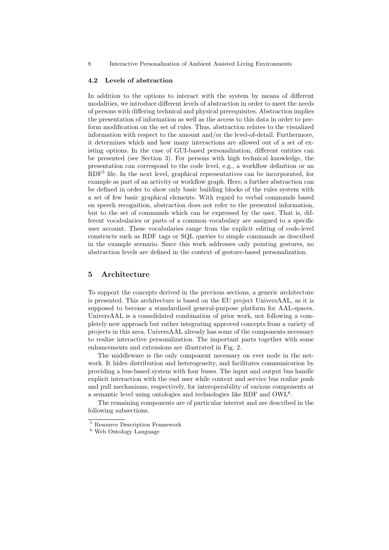#### 4.2 Levels of abstraction

In addition to the options to interact with the system by means of different modalities, we introduce different levels of abstraction in order to meet the needs of persons with differing technical and physical prerequisites. Abstraction implies the presentation of information as well as the access to this data in order to perform modification on the set of rules. Thus, abstraction relates to the visualized information with respect to the amount and/or the level-of-detail. Furthermore, it determines which and how many interactions are allowed out of a set of existing options. In the case of GUI-based personalization, different entities can be presented (see Section 3). For persons with high technical knowledge, the presentation can correspond to the code level, e.g., a workflow definition or an  $RDF<sup>5</sup>$  file. In the next level, graphical representatives can be incorporated, for example as part of an activity or workflow graph. Here, a further abstraction can be defined in order to show only basic building blocks of the rules system with a set of few basic graphical elements. With regard to verbal commands based on speech recognition, abstraction does not refer to the presented information, but to the set of commands which can be expressed by the user. That is, different vocabularies or parts of a common vocabulary are assigned to a specific user account. These vocabularies range from the explicit editing of code-level constructs such as RDF tags or SQL queries to simple commands as described in the example scenario. Since this work addresses only pointing gestures, no abstraction levels are defined in the context of gesture-based personalization.

# 5 Architecture

To support the concepts derived in the previous sections, a generic architecture is presented. This architecture is based on the EU project UniversAAL, as it is supposed to become a standardized general-purpose platform for AAL-spaces. UniversAAL is a consolidated combination of prior work, not following a completely new approach but rather integrating approved concepts from a variety of projects in this area. UniversAAL already has some of the components necessary to realize interactive personalization. The important parts together with some enhancements and extensions are illustrated in Fig. 2.

The middleware is the only component necessary on ever node in the network. It hides distribution and heterogeneity, and facilitates communication by providing a bus-based system with four buses. The input and output bus handle explicit interaction with the end user while context and service bus realize push and pull mechanisms, respectively, for interoperability of various components at a semantic level using ontologies and technologies like RDF and  $\text{OWL}^6$ .

The remaining components are of particular interest and are described in the following subsections.

<sup>5</sup> Resource Description Framework

 $^6$  Web Ontology Language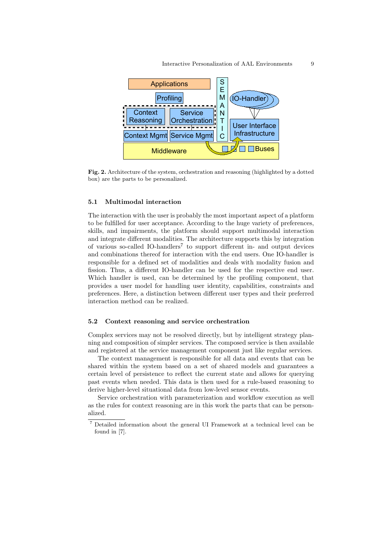

Fig. 2. Architecture of the system, orchestration and reasoning (highlighted by a dotted box) are the parts to be personalized.

#### 5.1 Multimodal interaction

The interaction with the user is probably the most important aspect of a platform to be fulfilled for user acceptance. According to the huge variety of preferences, skills, and impairments, the platform should support multimodal interaction and integrate different modalities. The architecture supports this by integration of various so-called IO-handlers<sup>7</sup> to support different in- and output devices and combinations thereof for interaction with the end users. One IO-handler is responsible for a defined set of modalities and deals with modality fusion and fission. Thus, a different IO-handler can be used for the respective end user. Which handler is used, can be determined by the profiling component, that provides a user model for handling user identity, capabilities, constraints and preferences. Here, a distinction between different user types and their preferred interaction method can be realized.

#### 5.2 Context reasoning and service orchestration

Complex services may not be resolved directly, but by intelligent strategy planning and composition of simpler services. The composed service is then available and registered at the service management component just like regular services.

The context management is responsible for all data and events that can be shared within the system based on a set of shared models and guarantees a certain level of persistence to reflect the current state and allows for querying past events when needed. This data is then used for a rule-based reasoning to derive higher-level situational data from low-level sensor events.

Service orchestration with parameterization and workflow execution as well as the rules for context reasoning are in this work the parts that can be personalized.

<sup>7</sup> Detailed information about the general UI Framework at a technical level can be found in [7].